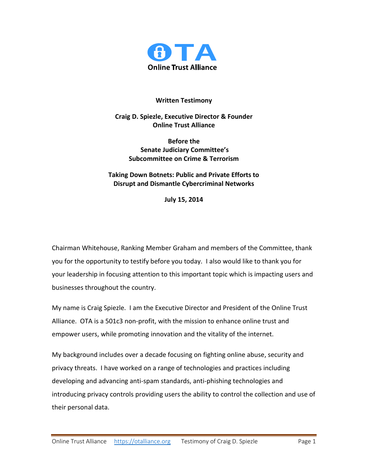

### **Written Testimony**

**Craig D. Spiezle, Executive Director & Founder Online Trust Alliance**

> **Before the Senate Judiciary Committee's Subcommittee on Crime & Terrorism**

# **Taking Down Botnets: Public and Private Efforts to Disrupt and Dismantle Cybercriminal Networks**

**July 15, 2014**

Chairman Whitehouse, Ranking Member Graham and members of the Committee, thank you for the opportunity to testify before you today. I also would like to thank you for your leadership in focusing attention to this important topic which is impacting users and businesses throughout the country.

My name is Craig Spiezle. I am the Executive Director and President of the Online Trust Alliance. OTA is a 501c3 non-profit, with the mission to enhance online trust and empower users, while promoting innovation and the vitality of the internet.

My background includes over a decade focusing on fighting online abuse, security and privacy threats. I have worked on a range of technologies and practices including developing and advancing anti-spam standards, anti-phishing technologies and introducing privacy controls providing users the ability to control the collection and use of their personal data.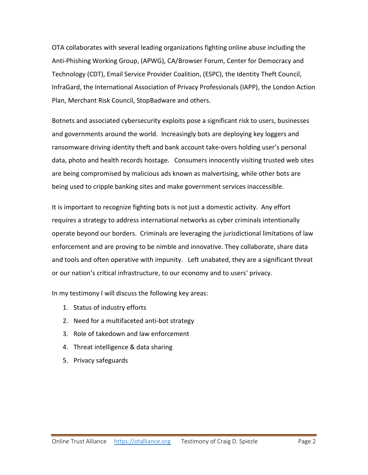OTA collaborates with several leading organizations fighting online abuse including the Anti-Phishing Working Group, (APWG), CA/Browser Forum, Center for Democracy and Technology (CDT), Email Service Provider Coalition, (ESPC), the Identity Theft Council, InfraGard, the International Association of Privacy Professionals (IAPP), the London Action Plan, Merchant Risk Council, StopBadware and others.

Botnets and associated cybersecurity exploits pose a significant risk to users, businesses and governments around the world. Increasingly bots are deploying key loggers and ransomware driving identity theft and bank account take-overs holding user's personal data, photo and health records hostage. Consumers innocently visiting trusted web sites are being compromised by malicious ads known as malvertising, while other bots are being used to cripple banking sites and make government services inaccessible.

It is important to recognize fighting bots is not just a domestic activity. Any effort requires a strategy to address international networks as cyber criminals intentionally operate beyond our borders. Criminals are leveraging the jurisdictional limitations of law enforcement and are proving to be nimble and innovative. They collaborate, share data and tools and often operative with impunity. Left unabated, they are a significant threat or our nation's critical infrastructure, to our economy and to users' privacy.

In my testimony I will discuss the following key areas:

- 1. Status of industry efforts
- 2. Need for a multifaceted anti-bot strategy
- 3. Role of takedown and law enforcement
- 4. Threat intelligence & data sharing
- 5. Privacy safeguards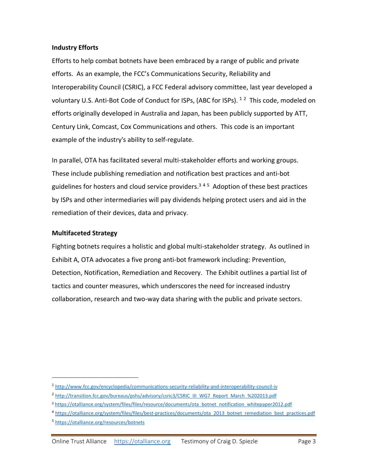#### **Industry Efforts**

Efforts to help combat botnets have been embraced by a range of public and private efforts. As an example, the FCC's Communications Security, Reliability and Interoperability Council (CSRIC), a FCC Federal advisory committee, last year developed a voluntary U.S. Anti-Bot Code of Conduct for ISPs, (ABC for ISPs). <sup>12</sup> This code, modeled on efforts originally developed in Australia and Japan, has been publicly supported by ATT, Century Link, Comcast, Cox Communications and others. This code is an important example of the industry's ability to self-regulate.

In parallel, OTA has facilitated several multi-stakeholder efforts and working groups. These include publishing remediation and notification best practices and anti-bot guidelines for hosters and cloud service providers. 3 4 5 Adoption of these best practices by ISPs and other intermediaries will pay dividends helping protect users and aid in the remediation of their devices, data and privacy.

#### **Multifaceted Strategy**

Fighting botnets requires a holistic and global multi-stakeholder strategy. As outlined in Exhibit A, OTA advocates a five prong anti-bot framework including: Prevention, Detection, Notification, Remediation and Recovery. The Exhibit outlines a partial list of tactics and counter measures, which underscores the need for increased industry collaboration, research and two-way data sharing with the public and private sectors.

 $\overline{a}$ 

<sup>1</sup> <http://www.fcc.gov/encyclopedia/communications-security-reliability-and-interoperability-council-iv>

<sup>&</sup>lt;sup>2</sup> [http://transition.fcc.gov/bureaus/pshs/advisory/csric3/CSRIC\\_III\\_WG7\\_Report\\_March\\_%202013.pdf](http://transition.fcc.gov/bureaus/pshs/advisory/csric3/CSRIC_III_WG7_Report_March_%202013.pdf)

<sup>3</sup> [https://otalliance.org/system/files/files/resource/documents/ota\\_botnet\\_notification\\_whitepaper2012.pdf](https://otalliance.org/system/files/files/resource/documents/ota_botnet_notification_whitepaper2012.pdf)

<sup>4</sup> [https://otalliance.org/system/files/files/best-practices/documents/ota\\_2013\\_botnet\\_remediation\\_best\\_practices.pdf](https://otalliance.org/system/files/files/best-practices/documents/ota_2013_botnet_remediation_best_practices.pdf)

<sup>5</sup> <https://otalliance.org/resources/botnets>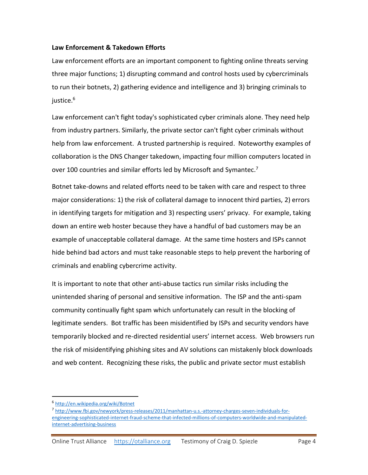### **Law Enforcement & Takedown Efforts**

Law enforcement efforts are an important component to fighting online threats serving three major functions; 1) disrupting command and control hosts used by cybercriminals to run their botnets, 2) gathering evidence and intelligence and 3) bringing criminals to justice. 6

Law enforcement can't fight today's sophisticated cyber criminals alone. They need help from industry partners. Similarly, the private sector can't fight cyber criminals without help from law enforcement. A trusted partnership is required. Noteworthy examples of collaboration is the DNS Changer takedown, impacting four million computers located in over 100 countries and similar efforts led by Microsoft and Symantec.<sup>7</sup>

Botnet take-downs and related efforts need to be taken with care and respect to three major considerations: 1) the risk of collateral damage to innocent third parties, 2) errors in identifying targets for mitigation and 3) respecting users' privacy. For example, taking down an entire web hoster because they have a handful of bad customers may be an example of unacceptable collateral damage. At the same time hosters and ISPs cannot hide behind bad actors and must take reasonable steps to help prevent the harboring of criminals and enabling cybercrime activity.

It is important to note that other anti-abuse tactics run similar risks including the unintended sharing of personal and sensitive information. The ISP and the anti-spam community continually fight spam which unfortunately can result in the blocking of legitimate senders. Bot traffic has been misidentified by ISPs and security vendors have temporarily blocked and re-directed residential users' internet access. Web browsers run the risk of misidentifying phishing sites and AV solutions can mistakenly block downloads and web content. Recognizing these risks, the public and private sector must establish

 $\overline{a}$ 

<sup>6</sup> <http://en.wikipedia.org/wiki/Botnet>

<sup>7</sup> [http://www.fbi.gov/newyork/press-releases/2011/manhattan-u.s.-attorney-charges-seven-individuals-for](http://www.fbi.gov/newyork/press-releases/2011/manhattan-u.s.-attorney-charges-seven-individuals-for-engineering-sophisticated-internet-fraud-scheme-that-infected-millions-of-computers-worldwide-and-manipulated-internet-advertising-business)[engineering-sophisticated-internet-fraud-scheme-that-infected-millions-of-computers-worldwide-and-manipulated](http://www.fbi.gov/newyork/press-releases/2011/manhattan-u.s.-attorney-charges-seven-individuals-for-engineering-sophisticated-internet-fraud-scheme-that-infected-millions-of-computers-worldwide-and-manipulated-internet-advertising-business)[internet-advertising-business](http://www.fbi.gov/newyork/press-releases/2011/manhattan-u.s.-attorney-charges-seven-individuals-for-engineering-sophisticated-internet-fraud-scheme-that-infected-millions-of-computers-worldwide-and-manipulated-internet-advertising-business)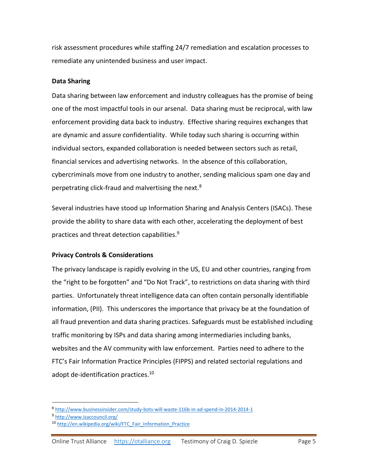risk assessment procedures while staffing 24/7 remediation and escalation processes to remediate any unintended business and user impact.

### **Data Sharing**

Data sharing between law enforcement and industry colleagues has the promise of being one of the most impactful tools in our arsenal. Data sharing must be reciprocal, with law enforcement providing data back to industry. Effective sharing requires exchanges that are dynamic and assure confidentiality. While today such sharing is occurring within individual sectors, expanded collaboration is needed between sectors such as retail, financial services and advertising networks. In the absence of this collaboration, cybercriminals move from one industry to another, sending malicious spam one day and perpetrating click-fraud and malvertising the next.<sup>8</sup>

Several industries have stood up Information Sharing and Analysis Centers (ISACs). These provide the ability to share data with each other, accelerating the deployment of best practices and threat detection capabilities.<sup>9</sup>

## **Privacy Controls & Considerations**

The privacy landscape is rapidly evolving in the US, EU and other countries, ranging from the "right to be forgotten" and "Do Not Track", to restrictions on data sharing with third parties. Unfortunately threat intelligence data can often contain personally identifiable information, (PII). This underscores the importance that privacy be at the foundation of all fraud prevention and data sharing practices. Safeguards must be established including traffic monitoring by ISPs and data sharing among intermediaries including banks, websites and the AV community with law enforcement. Parties need to adhere to the FTC's Fair Information Practice Principles (FIPPS) and related sectorial regulations and adopt de-identification practices.<sup>10</sup>

 $\overline{a}$ 

<sup>8</sup> <http://www.businessinsider.com/study-bots-will-waste-116b-in-ad-spend-in-2014-2014-1>

<sup>9</sup> <http://www.isaccouncil.org/>

<sup>10</sup> [http://en.wikipedia.org/wiki/FTC\\_Fair\\_Information\\_Practice](http://en.wikipedia.org/wiki/FTC_Fair_Information_Practice)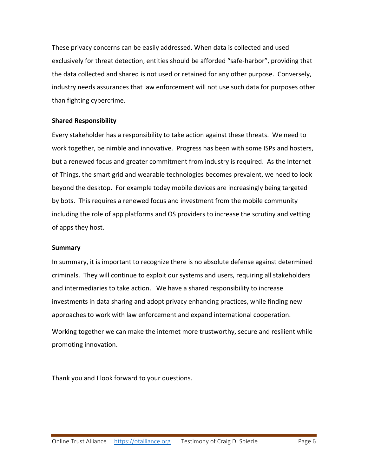These privacy concerns can be easily addressed. When data is collected and used exclusively for threat detection, entities should be afforded "safe-harbor", providing that the data collected and shared is not used or retained for any other purpose. Conversely, industry needs assurances that law enforcement will not use such data for purposes other than fighting cybercrime.

### **Shared Responsibility**

Every stakeholder has a responsibility to take action against these threats. We need to work together, be nimble and innovative. Progress has been with some ISPs and hosters, but a renewed focus and greater commitment from industry is required. As the Internet of Things, the smart grid and wearable technologies becomes prevalent, we need to look beyond the desktop. For example today mobile devices are increasingly being targeted by bots. This requires a renewed focus and investment from the mobile community including the role of app platforms and OS providers to increase the scrutiny and vetting of apps they host.

#### **Summary**

In summary, it is important to recognize there is no absolute defense against determined criminals. They will continue to exploit our systems and users, requiring all stakeholders and intermediaries to take action. We have a shared responsibility to increase investments in data sharing and adopt privacy enhancing practices, while finding new approaches to work with law enforcement and expand international cooperation. Working together we can make the internet more trustworthy, secure and resilient while promoting innovation.

Thank you and I look forward to your questions.